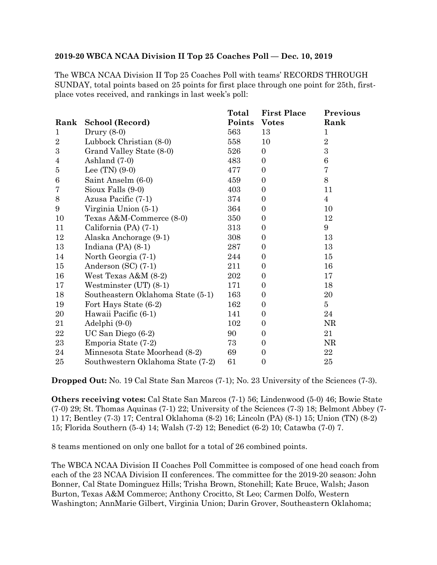## **2019-20 WBCA NCAA Division II Top 25 Coaches Poll — Dec. 10, 2019**

The WBCA NCAA Division II Top 25 Coaches Poll with teams' RECORDS THROUGH SUNDAY, total points based on 25 points for first place through one point for 25th, firstplace votes received, and rankings in last week's poll:

|                  |                                   | Total  | <b>First Place</b> | <b>Previous</b> |
|------------------|-----------------------------------|--------|--------------------|-----------------|
| Rank             | School (Record)                   | Points | <b>Votes</b>       | Rank            |
| $\mathbf{1}$     | Drury $(8-0)$                     | 563    | 13                 | $\mathbf{1}$    |
| $\sqrt{2}$       | Lubbock Christian (8-0)           | 558    | 10                 | $\sqrt{2}$      |
| $\boldsymbol{3}$ | Grand Valley State (8-0)          | 526    | $\mathbf{0}$       | $\overline{3}$  |
| $\overline{4}$   | Ashland (7-0)                     | 483    | $\overline{0}$     | $\,6$           |
| $\overline{5}$   | Lee $(TN)$ $(9-0)$                | 477    | $\overline{0}$     | 7               |
| $\,6$            | Saint Anselm (6-0)                | 459    | $\overline{0}$     | $8\,$           |
| 7                | Sioux Falls (9-0)                 | 403    | $\boldsymbol{0}$   | 11              |
| $8\,$            | Azusa Pacific (7-1)               | 374    | $\overline{0}$     | $\overline{4}$  |
| 9                | Virginia Union (5-1)              | 364    | $\overline{0}$     | 10              |
| 10               | Texas A&M-Commerce (8-0)          | 350    | $\boldsymbol{0}$   | 12              |
| 11               | California (PA) (7-1)             | 313    | $\boldsymbol{0}$   | 9               |
| 12               | Alaska Anchorage (9-1)            | 308    | $\boldsymbol{0}$   | 13              |
| 13               | Indiana $(PA)$ $(8-1)$            | 287    | $\mathbf{0}$       | 13              |
| 14               | North Georgia (7-1)               | 244    | $\overline{0}$     | 15              |
| 15               | Anderson $(SC)$ (7-1)             | 211    | $\boldsymbol{0}$   | 16              |
| 16               | West Texas $A&M(8-2)$             | 202    | $\mathbf{0}$       | 17              |
| 17               | Westminster $(UT)$ $(8-1)$        | 171    | $\boldsymbol{0}$   | 18              |
| 18               | Southeastern Oklahoma State (5-1) | 163    | $\boldsymbol{0}$   | 20              |
| 19               | Fort Hays State (6-2)             | 162    | $\boldsymbol{0}$   | $\overline{5}$  |
| 20               | Hawaii Pacific (6-1)              | 141    | $\overline{0}$     | 24              |
| 21               | Adelphi (9-0)                     | 102    | $\mathbf{0}$       | NR              |
| 22               | $UC$ San Diego $(6-2)$            | 90     | $\boldsymbol{0}$   | 21              |
| 23               | Emporia State (7-2)               | 73     | $\overline{0}$     | NR              |
| 24               | Minnesota State Moorhead (8-2)    | 69     | $\theta$           | 22              |
| 25               | Southwestern Oklahoma State (7-2) | 61     | $\boldsymbol{0}$   | 25              |

**Dropped Out:** No. 19 Cal State San Marcos (7-1); No. 23 University of the Sciences (7-3).

**Others receiving votes:** Cal State San Marcos (7-1) 56; Lindenwood (5-0) 46; Bowie State (7-0) 29; St. Thomas Aquinas (7-1) 22; University of the Sciences (7-3) 18; Belmont Abbey (7- 1) 17; Bentley (7-3) 17; Central Oklahoma (8-2) 16; Lincoln (PA) (8-1) 15; Union (TN) (8-2) 15; Florida Southern (5-4) 14; Walsh (7-2) 12; Benedict (6-2) 10; Catawba (7-0) 7.

8 teams mentioned on only one ballot for a total of 26 combined points.

The WBCA NCAA Division II Coaches Poll Committee is composed of one head coach from each of the 23 NCAA Division II conferences. The committee for the 2019-20 season: John Bonner, Cal State Dominguez Hills; Trisha Brown, Stonehill; Kate Bruce, Walsh; Jason Burton, Texas A&M Commerce; Anthony Crocitto, St Leo; Carmen Dolfo, Western Washington; AnnMarie Gilbert, Virginia Union; Darin Grover, Southeastern Oklahoma;